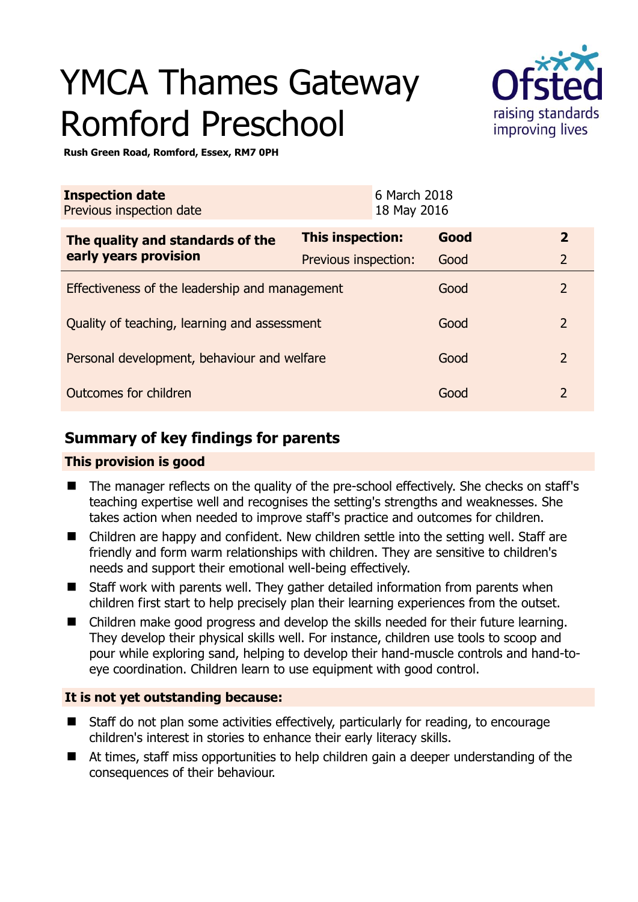# YMCA Thames Gateway Romford Preschool



**Rush Green Road, Romford, Essex, RM7 0PH** 

| <b>Inspection date</b><br>Previous inspection date |                      | 6 March 2018<br>18 May 2016 |      |                |
|----------------------------------------------------|----------------------|-----------------------------|------|----------------|
| The quality and standards of the                   | This inspection:     |                             | Good | $\overline{2}$ |
| early years provision                              | Previous inspection: |                             | Good | $\overline{2}$ |
| Effectiveness of the leadership and management     |                      |                             | Good | $\overline{2}$ |
| Quality of teaching, learning and assessment       |                      |                             | Good | $\overline{2}$ |
| Personal development, behaviour and welfare        |                      |                             | Good | $\overline{2}$ |
| Outcomes for children                              |                      |                             | Good | $\overline{2}$ |

# **Summary of key findings for parents**

## **This provision is good**

- The manager reflects on the quality of the pre-school effectively. She checks on staff's teaching expertise well and recognises the setting's strengths and weaknesses. She takes action when needed to improve staff's practice and outcomes for children.
- Children are happy and confident. New children settle into the setting well. Staff are friendly and form warm relationships with children. They are sensitive to children's needs and support their emotional well-being effectively.
- Staff work with parents well. They gather detailed information from parents when children first start to help precisely plan their learning experiences from the outset.
- Children make good progress and develop the skills needed for their future learning. They develop their physical skills well. For instance, children use tools to scoop and pour while exploring sand, helping to develop their hand-muscle controls and hand-toeye coordination. Children learn to use equipment with good control.

## **It is not yet outstanding because:**

- Staff do not plan some activities effectively, particularly for reading, to encourage children's interest in stories to enhance their early literacy skills.
- At times, staff miss opportunities to help children gain a deeper understanding of the consequences of their behaviour.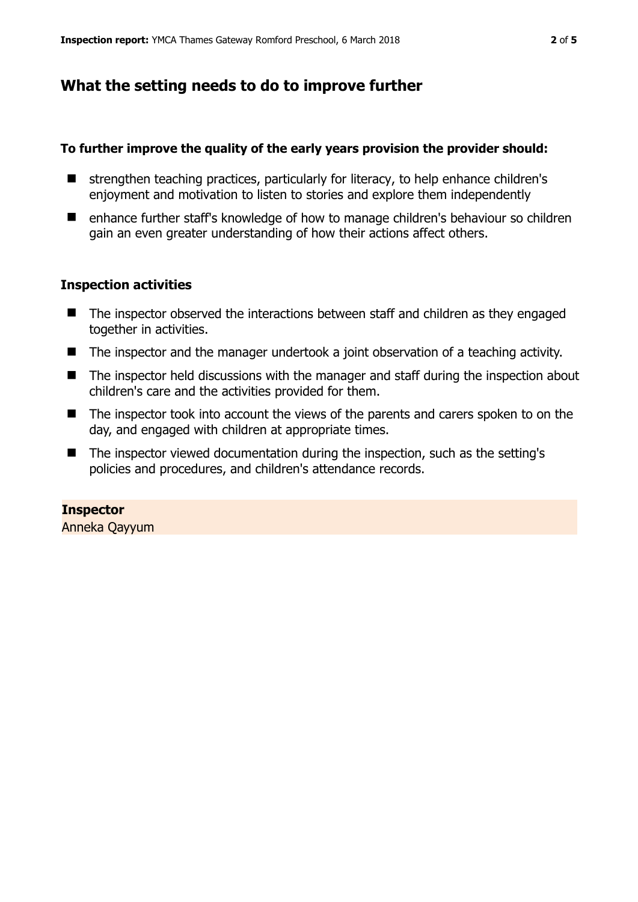## **What the setting needs to do to improve further**

## **To further improve the quality of the early years provision the provider should:**

- strengthen teaching practices, particularly for literacy, to help enhance children's enjoyment and motivation to listen to stories and explore them independently
- enhance further staff's knowledge of how to manage children's behaviour so children gain an even greater understanding of how their actions affect others.

## **Inspection activities**

- The inspector observed the interactions between staff and children as they engaged together in activities.
- The inspector and the manager undertook a joint observation of a teaching activity.
- The inspector held discussions with the manager and staff during the inspection about children's care and the activities provided for them.
- The inspector took into account the views of the parents and carers spoken to on the day, and engaged with children at appropriate times.
- $\blacksquare$  The inspector viewed documentation during the inspection, such as the setting's policies and procedures, and children's attendance records.

**Inspector**  Anneka Qayyum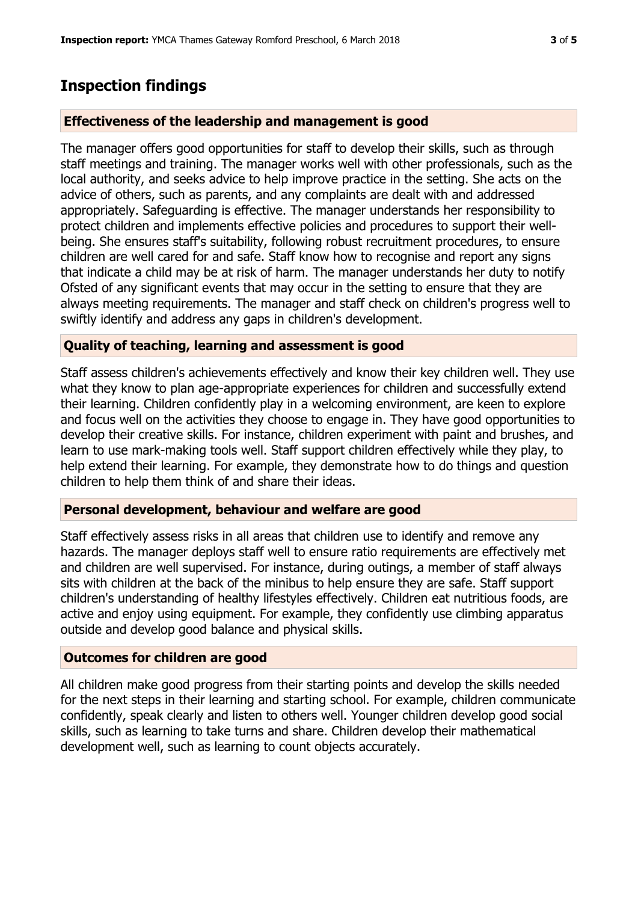## **Inspection findings**

#### **Effectiveness of the leadership and management is good**

The manager offers good opportunities for staff to develop their skills, such as through staff meetings and training. The manager works well with other professionals, such as the local authority, and seeks advice to help improve practice in the setting. She acts on the advice of others, such as parents, and any complaints are dealt with and addressed appropriately. Safeguarding is effective. The manager understands her responsibility to protect children and implements effective policies and procedures to support their wellbeing. She ensures staff's suitability, following robust recruitment procedures, to ensure children are well cared for and safe. Staff know how to recognise and report any signs that indicate a child may be at risk of harm. The manager understands her duty to notify Ofsted of any significant events that may occur in the setting to ensure that they are always meeting requirements. The manager and staff check on children's progress well to swiftly identify and address any gaps in children's development.

#### **Quality of teaching, learning and assessment is good**

Staff assess children's achievements effectively and know their key children well. They use what they know to plan age-appropriate experiences for children and successfully extend their learning. Children confidently play in a welcoming environment, are keen to explore and focus well on the activities they choose to engage in. They have good opportunities to develop their creative skills. For instance, children experiment with paint and brushes, and learn to use mark-making tools well. Staff support children effectively while they play, to help extend their learning. For example, they demonstrate how to do things and question children to help them think of and share their ideas.

#### **Personal development, behaviour and welfare are good**

Staff effectively assess risks in all areas that children use to identify and remove any hazards. The manager deploys staff well to ensure ratio requirements are effectively met and children are well supervised. For instance, during outings, a member of staff always sits with children at the back of the minibus to help ensure they are safe. Staff support children's understanding of healthy lifestyles effectively. Children eat nutritious foods, are active and enjoy using equipment. For example, they confidently use climbing apparatus outside and develop good balance and physical skills.

### **Outcomes for children are good**

All children make good progress from their starting points and develop the skills needed for the next steps in their learning and starting school. For example, children communicate confidently, speak clearly and listen to others well. Younger children develop good social skills, such as learning to take turns and share. Children develop their mathematical development well, such as learning to count objects accurately.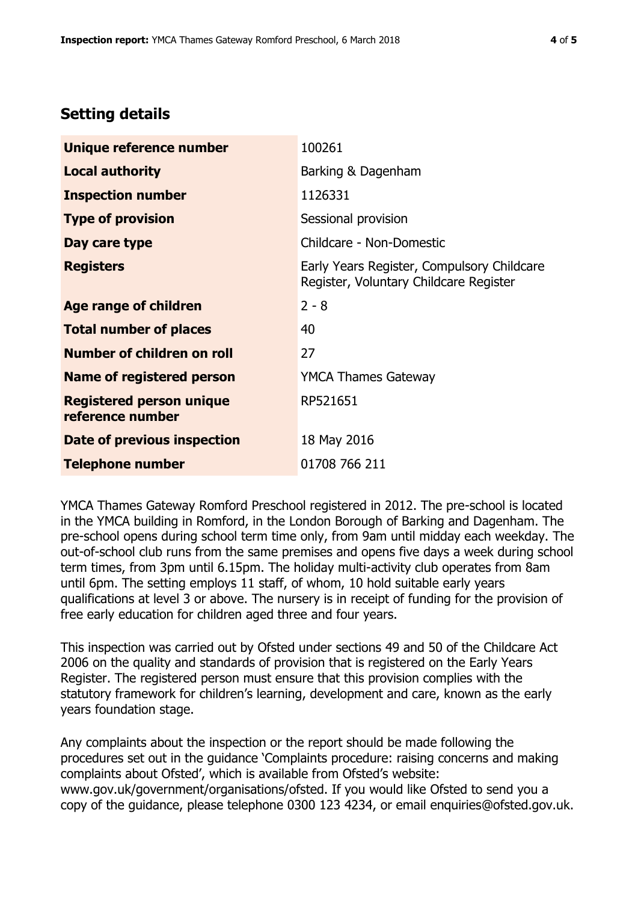# **Setting details**

| Unique reference number                             | 100261                                                                               |  |
|-----------------------------------------------------|--------------------------------------------------------------------------------------|--|
| <b>Local authority</b>                              | Barking & Dagenham                                                                   |  |
| <b>Inspection number</b>                            | 1126331                                                                              |  |
| <b>Type of provision</b>                            | Sessional provision                                                                  |  |
| Day care type                                       | Childcare - Non-Domestic                                                             |  |
| <b>Registers</b>                                    | Early Years Register, Compulsory Childcare<br>Register, Voluntary Childcare Register |  |
| Age range of children                               | $2 - 8$                                                                              |  |
| <b>Total number of places</b>                       | 40                                                                                   |  |
| Number of children on roll                          | 27                                                                                   |  |
| Name of registered person                           | <b>YMCA Thames Gateway</b>                                                           |  |
| <b>Registered person unique</b><br>reference number | RP521651                                                                             |  |
| Date of previous inspection                         | 18 May 2016                                                                          |  |
| <b>Telephone number</b>                             | 01708 766 211                                                                        |  |

YMCA Thames Gateway Romford Preschool registered in 2012. The pre-school is located in the YMCA building in Romford, in the London Borough of Barking and Dagenham. The pre-school opens during school term time only, from 9am until midday each weekday. The out-of-school club runs from the same premises and opens five days a week during school term times, from 3pm until 6.15pm. The holiday multi-activity club operates from 8am until 6pm. The setting employs 11 staff, of whom, 10 hold suitable early years qualifications at level 3 or above. The nursery is in receipt of funding for the provision of free early education for children aged three and four years.

This inspection was carried out by Ofsted under sections 49 and 50 of the Childcare Act 2006 on the quality and standards of provision that is registered on the Early Years Register. The registered person must ensure that this provision complies with the statutory framework for children's learning, development and care, known as the early years foundation stage.

Any complaints about the inspection or the report should be made following the procedures set out in the guidance 'Complaints procedure: raising concerns and making complaints about Ofsted', which is available from Ofsted's website: www.gov.uk/government/organisations/ofsted. If you would like Ofsted to send you a copy of the guidance, please telephone 0300 123 4234, or email enquiries@ofsted.gov.uk.